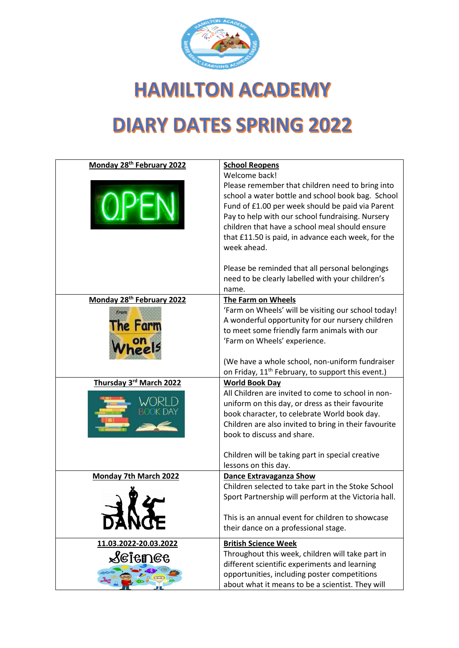

**HAMILTON ACADEMY** 

## **DIARY DATES SPRING 2022**

| Monday 28 <sup>th</sup> February 2022 | <b>School Reopens</b><br>Welcome back!                        |
|---------------------------------------|---------------------------------------------------------------|
|                                       | Please remember that children need to bring into              |
|                                       | school a water bottle and school book bag. School             |
|                                       | Fund of £1.00 per week should be paid via Parent              |
|                                       | Pay to help with our school fundraising. Nursery              |
|                                       | children that have a school meal should ensure                |
|                                       |                                                               |
|                                       | that £11.50 is paid, in advance each week, for the            |
|                                       | week ahead.                                                   |
|                                       | Please be reminded that all personal belongings               |
|                                       | need to be clearly labelled with your children's              |
|                                       | name.                                                         |
| Monday 28 <sup>th</sup> February 2022 | The Farm on Wheels                                            |
|                                       | 'Farm on Wheels' will be visiting our school today!           |
| from                                  | A wonderful opportunity for our nursery children              |
| he Farm                               | to meet some friendly farm animals with our                   |
|                                       |                                                               |
|                                       | 'Farm on Wheels' experience.                                  |
|                                       | (We have a whole school, non-uniform fundraiser               |
|                                       | on Friday, 11 <sup>th</sup> February, to support this event.) |
| Thursday 3rd March 2022               | <b>World Book Day</b>                                         |
|                                       | All Children are invited to come to school in non-            |
|                                       | uniform on this day, or dress as their favourite              |
|                                       | book character, to celebrate World book day.                  |
|                                       | Children are also invited to bring in their favourite         |
|                                       | book to discuss and share.                                    |
|                                       |                                                               |
|                                       | Children will be taking part in special creative              |
|                                       | lessons on this day.                                          |
| <b>Monday 7th March 2022</b>          | <b>Dance Extravaganza Show</b>                                |
|                                       | Children selected to take part in the Stoke School            |
|                                       | Sport Partnership will perform at the Victoria hall.          |
|                                       |                                                               |
| <b>DANGE</b>                          | This is an annual event for children to showcase              |
|                                       | their dance on a professional stage.                          |
| 11.03.2022-20.03.2022                 | <b>British Science Week</b>                                   |
| $\mathcal S$ eienee                   | Throughout this week, children will take part in              |
|                                       | different scientific experiments and learning                 |
|                                       | opportunities, including poster competitions                  |
|                                       | about what it means to be a scientist. They will              |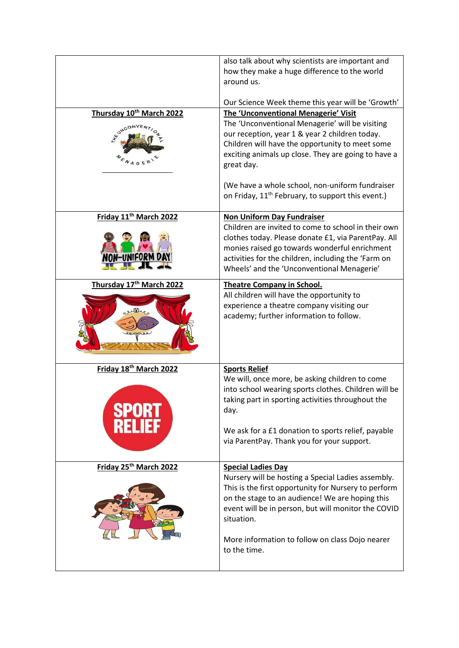|                                                                     | also talk about why scientists are important and<br>how they make a huge difference to the world<br>around us.<br>Our Science Week theme this year will be 'Growth'                                                                                                                                                                |
|---------------------------------------------------------------------|------------------------------------------------------------------------------------------------------------------------------------------------------------------------------------------------------------------------------------------------------------------------------------------------------------------------------------|
| Thursday 10 <sup>th</sup> March 2022<br><b>HEUMCO</b><br>$N_{A,GE}$ | <b>The 'Unconventional Menagerie' Visit</b><br>The 'Unconventional Menagerie' will be visiting<br>our reception, year 1 & year 2 children today.<br>Children will have the opportunity to meet some<br>exciting animals up close. They are going to have a<br>great day.<br>(We have a whole school, non-uniform fundraiser        |
|                                                                     | on Friday, 11 <sup>th</sup> February, to support this event.)                                                                                                                                                                                                                                                                      |
| Friday 11 <sup>th</sup> March 2022                                  | <b>Non Uniform Day Fundraiser</b><br>Children are invited to come to school in their own<br>clothes today. Please donate £1, via ParentPay. All<br>monies raised go towards wonderful enrichment<br>activities for the children, including the 'Farm on<br>Wheels' and the 'Unconventional Menagerie'                              |
| Thursday 17th March 2022<br>elles                                   | <b>Theatre Company in School.</b><br>All children will have the opportunity to<br>experience a theatre company visiting our<br>academy; further information to follow.                                                                                                                                                             |
| Friday 18th March 2022                                              | <b>Sports Relief</b><br>We will, once more, be asking children to come<br>into school wearing sports clothes. Children will be<br>taking part in sporting activities throughout the<br>day.<br>We ask for a £1 donation to sports relief, payable<br>via ParentPay. Thank you for your support.                                    |
| Friday 25th March 2022                                              | <b>Special Ladies Day</b><br>Nursery will be hosting a Special Ladies assembly.<br>This is the first opportunity for Nursery to perform<br>on the stage to an audience! We are hoping this<br>event will be in person, but will monitor the COVID<br>situation.<br>More information to follow on class Dojo nearer<br>to the time. |